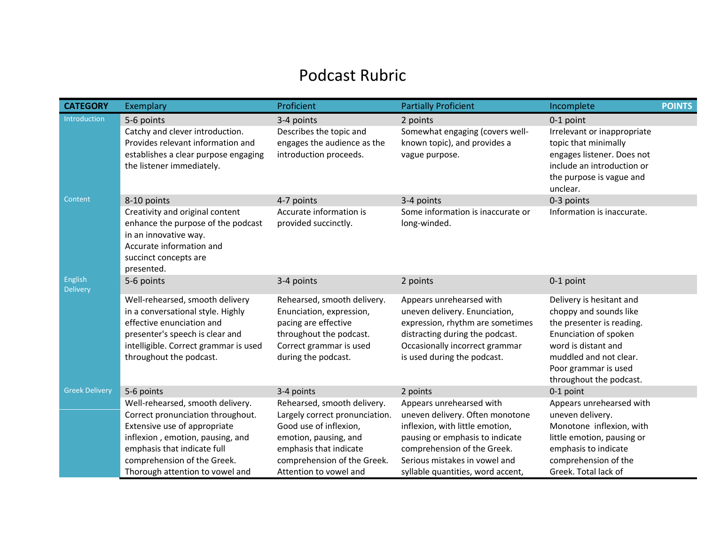## Podcast Rubric

| <b>CATEGORY</b>                   | Exemplary                                                                                                                                                                                                                                  | Proficient                                                                                                                                                                                          | <b>Partially Proficient</b>                                                                                                                                                                                                            | Incomplete                                                                                                                                                                                                   | <b>POINTS</b> |
|-----------------------------------|--------------------------------------------------------------------------------------------------------------------------------------------------------------------------------------------------------------------------------------------|-----------------------------------------------------------------------------------------------------------------------------------------------------------------------------------------------------|----------------------------------------------------------------------------------------------------------------------------------------------------------------------------------------------------------------------------------------|--------------------------------------------------------------------------------------------------------------------------------------------------------------------------------------------------------------|---------------|
| Introduction                      | 5-6 points                                                                                                                                                                                                                                 | 3-4 points                                                                                                                                                                                          | 2 points                                                                                                                                                                                                                               | 0-1 point                                                                                                                                                                                                    |               |
|                                   | Catchy and clever introduction.<br>Provides relevant information and                                                                                                                                                                       | Describes the topic and<br>engages the audience as the                                                                                                                                              | Somewhat engaging (covers well-<br>known topic), and provides a                                                                                                                                                                        | Irrelevant or inappropriate<br>topic that minimally                                                                                                                                                          |               |
|                                   | establishes a clear purpose engaging<br>the listener immediately.                                                                                                                                                                          | introduction proceeds.                                                                                                                                                                              | vague purpose.                                                                                                                                                                                                                         | engages listener. Does not<br>include an introduction or<br>the purpose is vague and<br>unclear.                                                                                                             |               |
| Content                           | 8-10 points                                                                                                                                                                                                                                | 4-7 points                                                                                                                                                                                          | 3-4 points                                                                                                                                                                                                                             | 0-3 points                                                                                                                                                                                                   |               |
|                                   | Creativity and original content<br>enhance the purpose of the podcast<br>in an innovative way.<br>Accurate information and<br>succinct concepts are<br>presented.                                                                          | Accurate information is<br>provided succinctly.                                                                                                                                                     | Some information is inaccurate or<br>long-winded.                                                                                                                                                                                      | Information is inaccurate.                                                                                                                                                                                   |               |
| <b>English</b><br><b>Delivery</b> | 5-6 points                                                                                                                                                                                                                                 | 3-4 points                                                                                                                                                                                          | 2 points                                                                                                                                                                                                                               | 0-1 point                                                                                                                                                                                                    |               |
|                                   | Well-rehearsed, smooth delivery<br>in a conversational style. Highly<br>effective enunciation and<br>presenter's speech is clear and<br>intelligible. Correct grammar is used<br>throughout the podcast.                                   | Rehearsed, smooth delivery.<br>Enunciation, expression,<br>pacing are effective<br>throughout the podcast.<br>Correct grammar is used<br>during the podcast.                                        | Appears unrehearsed with<br>uneven delivery. Enunciation,<br>expression, rhythm are sometimes<br>distracting during the podcast.<br>Occasionally incorrect grammar<br>is used during the podcast.                                      | Delivery is hesitant and<br>choppy and sounds like<br>the presenter is reading.<br>Enunciation of spoken<br>word is distant and<br>muddled and not clear.<br>Poor grammar is used<br>throughout the podcast. |               |
| <b>Greek Delivery</b>             | 5-6 points                                                                                                                                                                                                                                 | 3-4 points                                                                                                                                                                                          | 2 points                                                                                                                                                                                                                               | 0-1 point                                                                                                                                                                                                    |               |
|                                   | Well-rehearsed, smooth delivery.<br>Correct pronunciation throughout.<br>Extensive use of appropriate<br>inflexion, emotion, pausing, and<br>emphasis that indicate full<br>comprehension of the Greek.<br>Thorough attention to vowel and | Rehearsed, smooth delivery.<br>Largely correct pronunciation.<br>Good use of inflexion,<br>emotion, pausing, and<br>emphasis that indicate<br>comprehension of the Greek.<br>Attention to vowel and | Appears unrehearsed with<br>uneven delivery. Often monotone<br>inflexion, with little emotion,<br>pausing or emphasis to indicate<br>comprehension of the Greek.<br>Serious mistakes in vowel and<br>syllable quantities, word accent, | Appears unrehearsed with<br>uneven delivery.<br>Monotone inflexion, with<br>little emotion, pausing or<br>emphasis to indicate<br>comprehension of the<br>Greek. Total lack of                               |               |